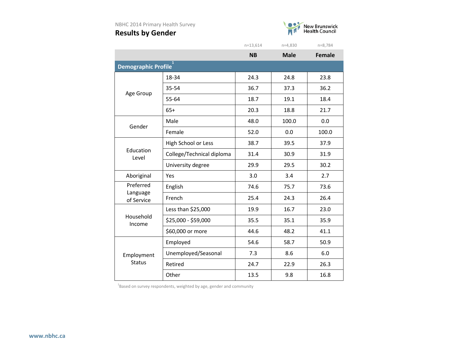

|                                 |                           | $n = 13,614$ | $n=4,830$   | n=8,784       |  |
|---------------------------------|---------------------------|--------------|-------------|---------------|--|
|                                 |                           | <b>NB</b>    | <b>Male</b> | <b>Female</b> |  |
| 1<br><b>Demographic Profile</b> |                           |              |             |               |  |
|                                 | 18-34                     | 24.3         | 24.8        | 23.8          |  |
| Age Group                       | 35-54                     | 36.7         | 37.3        | 36.2          |  |
|                                 | 55-64                     | 18.7         | 19.1        | 18.4          |  |
|                                 | $65+$                     | 20.3         | 18.8        | 21.7          |  |
| Gender                          | Male                      | 48.0         | 100.0       | 0.0           |  |
|                                 | Female                    | 52.0         | 0.0         | 100.0         |  |
|                                 | High School or Less       | 38.7         | 39.5        | 37.9          |  |
| Education<br>Level              | College/Technical diploma | 31.4         | 30.9        | 31.9          |  |
|                                 | University degree         | 29.9         | 29.5        | 30.2          |  |
| Aboriginal                      | Yes                       | 3.0          | 3.4         | 2.7           |  |
| Preferred                       | English                   | 74.6         | 75.7        | 73.6          |  |
| Language<br>of Service          | French                    | 25.4         | 24.3        | 26.4          |  |
|                                 | Less than \$25,000        | 19.9         | 16.7        | 23.0          |  |
| Household<br>Income             | \$25,000 - \$59,000       | 35.5         | 35.1        | 35.9          |  |
|                                 | \$60,000 or more          | 44.6         | 48.2        | 41.1          |  |
|                                 | Employed                  | 54.6         | 58.7        | 50.9          |  |
| Employment                      | Unemployed/Seasonal       | 7.3          | 8.6         | 6.0           |  |
| <b>Status</b>                   | Retired                   | 24.7         | 22.9        | 26.3          |  |
|                                 | Other                     | 13.5         | 9.8         | 16.8          |  |

 $^{1}$ Based on survey respondents, weighted by age, gender and community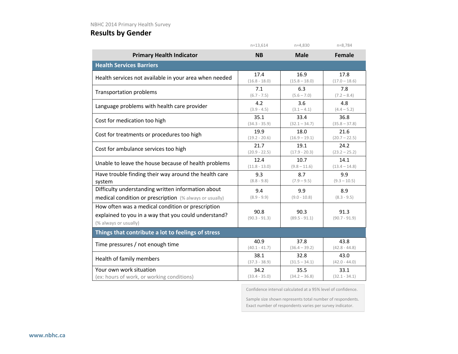|                                                                                                                                    | $n=13,614$              | $n=4,830$               | $n=8,784$               |
|------------------------------------------------------------------------------------------------------------------------------------|-------------------------|-------------------------|-------------------------|
| <b>Primary Health Indicator</b>                                                                                                    | <b>NB</b>               | <b>Male</b>             | <b>Female</b>           |
| <b>Health Services Barriers</b>                                                                                                    |                         |                         |                         |
| Health services not available in your area when needed                                                                             | 17.4                    | 16.9                    | 17.8                    |
|                                                                                                                                    | $(16.8 - 18.0)$         | $(15.8 - 18.0)$         | $(17.0 - 18.6)$         |
| <b>Transportation problems</b>                                                                                                     | 7.1                     | 6.3                     | 7.8                     |
|                                                                                                                                    | $(6.7 - 7.5)$           | $(5.6 - 7.0)$           | $(7.2 - 8.4)$           |
| Language problems with health care provider                                                                                        | 4.2                     | 3.6                     | 4.8                     |
|                                                                                                                                    | $(3.9 - 4.5)$           | $(3.1 - 4.1)$           | $(4.4 - 5.2)$           |
| Cost for medication too high                                                                                                       | 35.1                    | 33.4                    | 36.8                    |
|                                                                                                                                    | $(34.3 - 35.9)$         | $(32.1 - 34.7)$         | $(35.8 - 37.8)$         |
| Cost for treatments or procedures too high                                                                                         | 19.9                    | 18.0                    | 21.6                    |
|                                                                                                                                    | $(19.2 - 20.6)$         | $(16.9 - 19.1)$         | $(20.7 - 22.5)$         |
| Cost for ambulance services too high                                                                                               | 21.7                    | 19.1                    | 24.2                    |
|                                                                                                                                    | $(20.9 - 22.5)$         | $(17.9 - 20.3)$         | $(23.2 - 25.2)$         |
| Unable to leave the house because of health problems                                                                               | 12.4                    | 10.7                    | 14.1                    |
|                                                                                                                                    | $(11.8 - 13.0)$         | $(9.8 - 11.6)$          | $(13.4 - 14.8)$         |
| Have trouble finding their way around the health care                                                                              | 9.3                     | 8.7                     | 9.9                     |
| system                                                                                                                             | $(8.8 - 9.8)$           | $(7.9 - 9.5)$           | $(9.3 - 10.5)$          |
| Difficulty understanding written information about                                                                                 | 9.4                     | 9.9                     | 8.9                     |
| medical condition or prescription (% always or usually)                                                                            | $(8.9 - 9.9)$           | $(9.0 - 10.8)$          | $(8.3 - 9.5)$           |
| How often was a medical condition or prescription<br>explained to you in a way that you could understand?<br>(% always or usually) | 90.8<br>$(90.3 - 91.3)$ | 90.3<br>$(89.5 - 91.1)$ | 91.3<br>$(90.7 - 91.9)$ |
| Things that contribute a lot to feelings of stress                                                                                 |                         |                         |                         |
| Time pressures / not enough time                                                                                                   | 40.9                    | 37.8                    | 43.8                    |
|                                                                                                                                    | $(40.1 - 41.7)$         | $(36.4 - 39.2)$         | $(42.8 - 44.8)$         |
| Health of family members                                                                                                           | 38.1                    | 32.8                    | 43.0                    |
|                                                                                                                                    | $(37.3 - 38.9)$         | $(31.5 - 34.1)$         | $(42.0 - 44.0)$         |
| Your own work situation                                                                                                            | 34.2                    | 35.5                    | 33.1                    |
| (ex: hours of work, or working conditions)                                                                                         | $(33.4 - 35.0)$         | $(34.2 - 36.8)$         | $(32.1 - 34.1)$         |

Confidence interval calculated at a 95% level of confidence.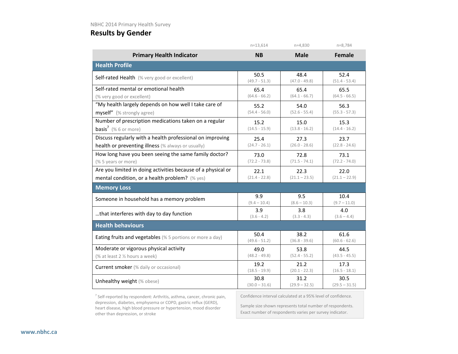|                                                                  | $n=13,614$      | $n=4,830$       | $n=8,784$       |  |  |
|------------------------------------------------------------------|-----------------|-----------------|-----------------|--|--|
| <b>Primary Health Indicator</b>                                  | <b>NB</b>       | <b>Male</b>     | <b>Female</b>   |  |  |
| <b>Health Profile</b>                                            |                 |                 |                 |  |  |
| Self-rated Health (% very good or excellent)                     | 50.5            | 48.4            | 52.4            |  |  |
|                                                                  | $(49.7 - 51.3)$ | $(47.0 - 49.8)$ | $(51.4 - 53.4)$ |  |  |
| Self-rated mental or emotional health                            | 65.4            | 65.4            | 65.5            |  |  |
| (% very good or excellent)                                       | $(64.6 - 66.2)$ | $(64.1 - 66.7)$ | $(64.5 - 66.5)$ |  |  |
| "My health largely depends on how well I take care of            | 55.2            | 54.0            | 56.3            |  |  |
| myself" (% strongly agree)                                       | $(54.4 - 56.0)$ | $(52.6 - 55.4)$ | $(55.3 - 57.3)$ |  |  |
| Number of prescription medications taken on a regular            | 15.2            | 15.0            | 15.3            |  |  |
| <b>basis<sup>7</sup></b> (% 6 or more)                           | $(14.5 - 15.9)$ | $(13.8 - 16.2)$ | $(14.4 - 16.2)$ |  |  |
| Discuss regularly with a health professional on improving        | 25.4            | 27.3            | 23.7            |  |  |
| health or preventing illness (% always or usually)               | $(24.7 - 26.1)$ | $(26.0 - 28.6)$ | $(22.8 - 24.6)$ |  |  |
| How long have you been seeing the same family doctor?            | 73.0            | 72.8            | 73.1            |  |  |
| (% 5 years or more)                                              | $(72.2 - 73.8)$ | $(71.5 - 74.1)$ | $(72.2 - 74.0)$ |  |  |
| Are you limited in doing activities because of a physical or     | 22.1            | 22.3            | 22.0            |  |  |
| mental condition, or a health problem? (% yes)                   | $(21.4 - 22.8)$ | $(21.1 - 23.5)$ | $(21.1 - 22.9)$ |  |  |
| <b>Memory Loss</b>                                               |                 |                 |                 |  |  |
| Someone in household has a memory problem                        | 9.9             | 9.5             | 10.4            |  |  |
|                                                                  | $(9.4 - 10.4)$  | $(8.6 - 10.3)$  | $(9.7 - 11.0)$  |  |  |
| that interferes with day to day function                         | 3.9             | 3.8             | 4.0             |  |  |
|                                                                  | $(3.6 - 4.2)$   | $(3.3 - 4.3)$   | $(3.6 - 4.4)$   |  |  |
| <b>Health behaviours</b>                                         |                 |                 |                 |  |  |
| <b>Eating fruits and vegetables</b> (% 5 portions or more a day) | 50.4            | 38.2            | 61.6            |  |  |
|                                                                  | $(49.6 - 51.2)$ | $(36.8 - 39.6)$ | $(60.6 - 62.6)$ |  |  |
| Moderate or vigorous physical activity                           | 49.0            | 53.8            | 44.5            |  |  |
| (% at least 2 1/2 hours a week)                                  | $(48.2 - 49.8)$ | $(52.4 - 55.2)$ | $(43.5 - 45.5)$ |  |  |
| <b>Current smoker</b> (% daily or occasional)                    | 19.2            | 21.2            | 17.3            |  |  |
|                                                                  | $(18.5 - 19.9)$ | $(20.1 - 22.3)$ | $(16.5 - 18.1)$ |  |  |
| Unhealthy weight (% obese)                                       | 30.8            | 31.2            | 30.5            |  |  |
|                                                                  | $(30.0 - 31.6)$ | $(29.9 - 32.5)$ | $(29.5 - 31.5)$ |  |  |

 $<sup>7</sup>$  Self-reported by respondent: Arthritis, asthma, cancer, chronic pain,</sup> depression, diabetes, emphysema or COPD, gastric reflux (GERD), heart disease, high blood pressure or hypertension, mood disorder other than depression, or stroke

Confidence interval calculated at a 95% level of confidence.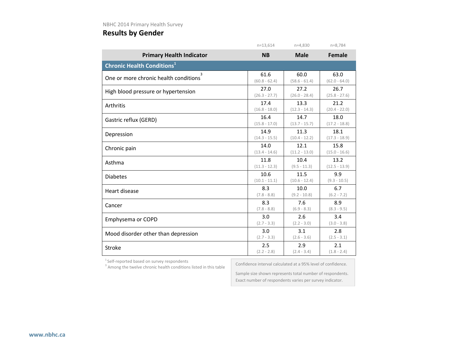|                                              | $n=13,614$      | $n=4,830$       | $n = 8,784$     |
|----------------------------------------------|-----------------|-----------------|-----------------|
| <b>Primary Health Indicator</b>              | <b>NB</b>       | <b>Male</b>     | <b>Female</b>   |
| <b>Chronic Health Conditions<sup>1</sup></b> |                 |                 |                 |
| 3                                            | 61.6            | 60.0            | 63.0            |
| One or more chronic health conditions        | $(60.8 - 62.4)$ | $(58.6 - 61.4)$ | $(62.0 - 64.0)$ |
| High blood pressure or hypertension          | 27.0            | 27.2            | 26.7            |
|                                              | $(26.3 - 27.7)$ | $(26.0 - 28.4)$ | $(25.8 - 27.6)$ |
| Arthritis                                    | 17.4            | 13.3            | 21.2            |
|                                              | $(16.8 - 18.0)$ | $(12.3 - 14.3)$ | $(20.4 - 22.0)$ |
| Gastric reflux (GERD)                        | 16.4            | 14.7            | 18.0            |
|                                              | $(15.8 - 17.0)$ | $(13.7 - 15.7)$ | $(17.2 - 18.8)$ |
| Depression                                   | 14.9            | 11.3            | 18.1            |
|                                              | $(14.3 - 15.5)$ | $(10.4 - 12.2)$ | $(17.3 - 18.9)$ |
| Chronic pain                                 | 14.0            | 12.1            | 15.8            |
|                                              | $(13.4 - 14.6)$ | $(11.2 - 13.0)$ | $(15.0 - 16.6)$ |
| Asthma                                       | 11.8            | 10.4            | 13.2            |
|                                              | $(11.3 - 12.3)$ | $(9.5 - 11.3)$  | $(12.5 - 13.9)$ |
| <b>Diabetes</b>                              | 10.6            | 11.5            | 9.9             |
|                                              | $(10.1 - 11.1)$ | $(10.6 - 12.4)$ | $(9.3 - 10.5)$  |
| Heart disease                                | 8.3             | 10.0            | 6.7             |
|                                              | $(7.8 - 8.8)$   | $(9.2 - 10.8)$  | $(6.2 - 7.2)$   |
| Cancer                                       | 8.3             | 7.6             | 8.9             |
|                                              | $(7.8 - 8.8)$   | $(6.9 - 8.3)$   | $(8.3 - 9.5)$   |
| Emphysema or COPD                            | 3.0             | 2.6             | 3.4             |
|                                              | $(2.7 - 3.3)$   | $(2.2 - 3.0)$   | $(3.0 - 3.8)$   |
| Mood disorder other than depression          | 3.0             | 3.1             | 2.8             |
|                                              | $(2.7 - 3.3)$   | $(2.6 - 3.6)$   | $(2.5 - 3.1)$   |
| Stroke                                       | 2.5             | 2.9             | 2.1             |
|                                              | $(2.2 - 2.8)$   | $(2.4 - 3.4)$   | $(1.8 - 2.4)$   |

<sup>1</sup> Self-reported based on survey respondents  $3$  Among the twelve chronic health conditions listed in this table

Confidence interval calculated at a 95% level of confidence.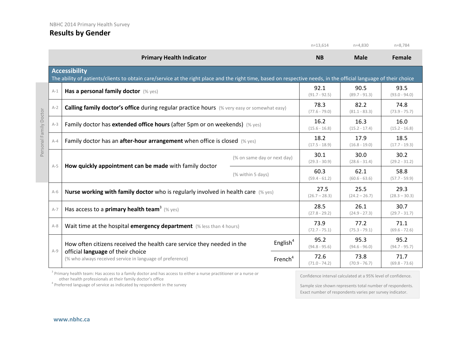|                        |                                                                                              |                                                                                                                                                                                           |                         | $n=13,614$              | $n=4,830$               | $n=8,784$               |
|------------------------|----------------------------------------------------------------------------------------------|-------------------------------------------------------------------------------------------------------------------------------------------------------------------------------------------|-------------------------|-------------------------|-------------------------|-------------------------|
|                        |                                                                                              | <b>Primary Health Indicator</b>                                                                                                                                                           |                         | <b>NB</b>               | <b>Male</b>             | <b>Female</b>           |
|                        |                                                                                              | <b>Accessibility</b><br>The ability of patients/clients to obtain care/service at the right place and the right time, based on respective needs, in the official language of their choice |                         |                         |                         |                         |
|                        | $A-1$                                                                                        | Has a personal family doctor (% yes)                                                                                                                                                      |                         | 92.1<br>$(91.7 - 92.5)$ | 90.5<br>$(89.7 - 91.3)$ | 93.5<br>$(93.0 - 94.0)$ |
|                        | $A-2$                                                                                        | Calling family doctor's office during regular practice hours (% very easy or somewhat easy)                                                                                               |                         | 78.3<br>$(77.6 - 79.0)$ | 82.2<br>$(81.1 - 83.3)$ | 74.8<br>$(73.9 - 75.7)$ |
| Personal Family Doctor | Family doctor has extended office hours (after 5pm or on weekends) $(\%$ yes)<br>$A-3$       |                                                                                                                                                                                           | 16.2<br>$(15.6 - 16.8)$ | 16.3<br>$(15.2 - 17.4)$ | 16.0<br>$(15.2 - 16.8)$ |                         |
|                        | Family doctor has an <b>after-hour arrangement</b> when office is closed $(\%$ yes)<br>$A-4$ |                                                                                                                                                                                           | 18.2<br>$(17.5 - 18.9)$ | 17.9<br>$(16.8 - 19.0)$ | 18.5<br>$(17.7 - 19.3)$ |                         |
|                        |                                                                                              | (% on same day or next day)                                                                                                                                                               | 30.1<br>$(29.3 - 30.9)$ | 30.0<br>$(28.6 - 31.4)$ | 30.2<br>$(29.2 - 31.2)$ |                         |
|                        | $A-5$                                                                                        | How quickly appointment can be made with family doctor                                                                                                                                    | (% within 5 days)       | 60.3<br>$(59.4 - 61.2)$ | 62.1<br>$(60.6 - 63.6)$ | 58.8<br>$(57.7 - 59.9)$ |
|                        | $A-6$                                                                                        | Nurse working with family doctor who is regularly involved in health care $(\%$ yes)                                                                                                      |                         | 27.5<br>$(26.7 - 28.3)$ | 25.5<br>$(24.2 - 26.7)$ | 29.3<br>$(28.3 - 30.3)$ |
|                        | $A-7$                                                                                        | Has access to a <b>primary health team</b> <sup>3</sup> (% yes)                                                                                                                           |                         | 28.5<br>$(27.8 - 29.2)$ | 26.1<br>$(24.9 - 27.3)$ | 30.7<br>$(29.7 - 31.7)$ |
|                        | $A-8$                                                                                        | Wait time at the hospital emergency department (% less than 4 hours)                                                                                                                      |                         | 73.9<br>$(72.7 - 75.1)$ | 77.2<br>$(75.3 - 79.1)$ | 71.1<br>$(69.6 - 72.6)$ |
|                        |                                                                                              | How often citizens received the health care service they needed in the                                                                                                                    | English <sup>4</sup>    | 95.2<br>$(94.8 - 95.6)$ | 95.3<br>$(94.6 - 96.0)$ | 95.2<br>$(94.7 - 95.7)$ |
|                        | $A-9$                                                                                        | official language of their choice<br>(% who always received service in language of preference)                                                                                            | French <sup>4</sup>     | 72.6<br>$(71.0 - 74.2)$ | 73.8<br>$(70.9 - 76.7)$ | 71.7<br>$(69.8 - 73.6)$ |

<sup>3</sup> Primary health team: Has access to a family doctor and has access to either a nurse practitioner or a nurse or other health professionals at their family doctor's office

 $4$  Preferred language of service as indicated by respondent in the survey

Confidence interval calculated at a 95% level of confidence.

Sample size shown represents total number of respondents. Exact number of respondents varies per survey indicator.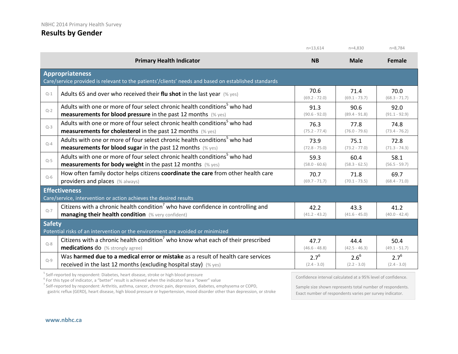|               |                                                                                                                                | $n=13.614$              | $n=4,830$               | $n = 8,784$             |  |
|---------------|--------------------------------------------------------------------------------------------------------------------------------|-------------------------|-------------------------|-------------------------|--|
|               | <b>Primary Health Indicator</b>                                                                                                | <b>NB</b>               | <b>Male</b>             | Female                  |  |
|               | <b>Appropriateness</b><br>Care/service provided is relevant to the patients'/clients' needs and based on established standards |                         |                         |                         |  |
| $Q-1$         | Adults 65 and over who received their flu shot in the last year $(\%$ yes)                                                     | 70.6<br>$(69.2 - 72.0)$ | 71.4<br>$(69.1 - 73.7)$ | 70.0<br>$(68.3 - 71.7)$ |  |
| $Q-2$         | Adults with one or more of four select chronic health conditions <sup>5</sup> who had                                          | 91.3                    | 90.6                    | 92.0                    |  |
|               | <b>measurements for blood pressure</b> in the past 12 months (% yes)                                                           | $(90.6 - 92.0)$         | $(89.4 - 91.8)$         | $(91.1 - 92.9)$         |  |
| $Q-3$         | Adults with one or more of four select chronic health conditions <sup>5</sup> who had                                          | 76.3                    | 77.8                    | 74.8                    |  |
|               | <b>measurements for cholesterol</b> in the past 12 months (% yes)                                                              | $(75.2 - 77.4)$         | $(76.0 - 79.6)$         | $(73.4 - 76.2)$         |  |
| $Q-4$         | Adults with one or more of four select chronic health conditions <sup>5</sup> who had                                          | 73.9                    | 75.1                    | 72.8                    |  |
|               | <b>measurements for blood sugar in the past 12 months</b> (% yes)                                                              | $(72.8 - 75.0)$         | $(73.2 - 77.0)$         | $(71.3 - 74.3)$         |  |
| $Q-5$         | Adults with one or more of four select chronic health conditions <sup>5</sup> who had                                          | 59.3                    | 60.4                    | 58.1                    |  |
|               | <b>measurements for body weight</b> in the past 12 months $(\%$ yes)                                                           | $(58.0 - 60.6)$         | $(58.3 - 62.5)$         | $(56.5 - 59.7)$         |  |
| $Q-6$         | How often family doctor helps citizens coordinate the care from other health care                                              | 70.7                    | 71.8                    | 69.7                    |  |
|               | providers and places (% always)                                                                                                | $(69.7 - 71.7)$         | $(70.1 - 73.5)$         | $(68.4 - 71.0)$         |  |
|               | <b>Effectiveness</b><br>Care/service, intervention or action achieves the desired results                                      |                         |                         |                         |  |
| $O - 7$       | Citizens with a chronic health condition <sup>7</sup> who have confidence in controlling and                                   | 42.2                    | 43.3                    | 41.2                    |  |
|               | managing their health condition (% very confident)                                                                             | $(41.2 - 43.2)$         | $(41.6 - 45.0)$         | $(40.0 - 42.4)$         |  |
| <b>Safety</b> | Potential risks of an intervention or the environment are avoided or minimized                                                 |                         |                         |                         |  |
| $Q - 8$       | Citizens with a chronic health condition <sup>7</sup> who know what each of their prescribed                                   | 47.7                    | 44.4                    | 50.4                    |  |
|               | medications do (% strongly agree)                                                                                              | $(46.6 - 48.8)$         | $(42.5 - 46.3)$         | $(49.1 - 51.7)$         |  |
| $Q-9$         | Was harmed due to a medical error or mistake as a result of health care services                                               | $2.7^{6}$               | $2.6^{6}$               | $2.7^{6}$               |  |
|               | received in the last 12 months (excluding hospital stay) (% yes)                                                               | $(2.4 - 3.0)$           | $(2.2 - 3.0)$           | $(2.4 - 3.0)$           |  |

<sup>5</sup> Self-reported by respondent: Diabetes, heart disease, stroke or high blood pressure  $6$  For this type of indicator, a "better" result is achieved when the indicator has a "lower" value

<sup>7</sup> Self-reported by respondent: Arthritis, asthma, cancer, chronic pain, depression, diabetes, emphysema or COPD, gastric reflux (GERD), heart disease, high blood pressure or hypertension, mood disorder other than depression, or stroke

Sample size shown represents total number of respondents. Exact number of respondents varies per survey indicator.

Confidence interval calculated at a 95% level of confidence.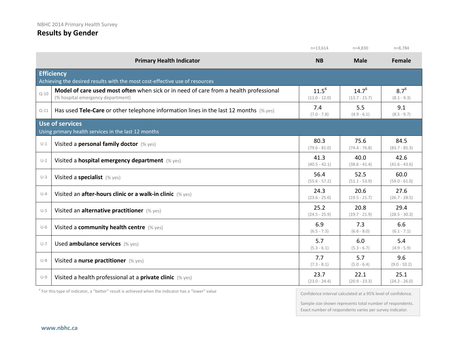|          |                                                                                                                            | $n=13,614$                    | $n=4,830$                     | $n=8,784$                  |
|----------|----------------------------------------------------------------------------------------------------------------------------|-------------------------------|-------------------------------|----------------------------|
|          | <b>Primary Health Indicator</b>                                                                                            | <b>NB</b>                     | <b>Male</b>                   | <b>Female</b>              |
|          | <b>Efficiency</b><br>Achieving the desired results with the most cost-effective use of resources                           |                               |                               |                            |
| $Q - 10$ | Model of care used most often when sick or in need of care from a health professional<br>(% hospital emergency department) | $11.5^{6}$<br>$(11.0 - 12.0)$ | $14.7^{6}$<br>$(13.7 - 15.7)$ | $8.7^{6}$<br>$(8.1 - 9.3)$ |
| $Q-11$   | Has used Tele-Care or other telephone information lines in the last 12 months $(\%$ yes)                                   | 7.4<br>$(7.0 - 7.8)$          | 5.5<br>$(4.9 - 6.1)$          | 9.1<br>$(8.5 - 9.7)$       |
|          | <b>Use of services</b><br>Using primary health services in the last 12 months                                              |                               |                               |                            |
| $U-1$    | Visited a personal family doctor (% yes)                                                                                   | 80.3<br>$(79.6 - 81.0)$       | 75.6<br>$(74.4 - 76.8)$       | 84.5<br>$(83.7 - 85.3)$    |
| $U-2$    | Visited a hospital emergency department (% yes)                                                                            | 41.3<br>$(40.5 - 42.1)$       | 40.0<br>$(38.6 - 41.4)$       | 42.6<br>$(41.6 - 43.6)$    |
| $U-3$    | Visited a specialist (% yes)                                                                                               | 56.4<br>$(55.6 - 57.2)$       | 52.5<br>$(51.1 - 53.9)$       | 60.0<br>$(59.0 - 61.0)$    |
| $U - 4$  | Visited an after-hours clinic or a walk-in clinic (% yes)                                                                  | 24.3<br>$(23.6 - 25.0)$       | 20.6<br>$(19.5 - 21.7)$       | 27.6<br>$(26.7 - 28.5)$    |
| $U-5$    | Visited an alternative practitioner (% yes)                                                                                | 25.2<br>$(24.5 - 25.9)$       | 20.8<br>$(19.7 - 21.9)$       | 29.4<br>$(28.5 - 30.3)$    |
| $U-6$    | Visited a community health centre (% yes)                                                                                  | 6.9<br>$(6.5 - 7.3)$          | 7.3<br>$(6.6 - 8.0)$          | 6.6<br>$(6.1 - 7.1)$       |
| $U-7$    | Used ambulance services (% yes)                                                                                            | 5.7<br>$(5.3 - 6.1)$          | 6.0<br>$(5.3 - 6.7)$          | 5.4<br>$(4.9 - 5.9)$       |
| $U-8$    | Visited a nurse practitioner (% yes)                                                                                       | 7.7<br>$(7.3 - 8.1)$          | 5.7<br>$(5.0 - 6.4)$          | 9.6<br>$(9.0 - 10.2)$      |
| $U-9$    | Visited a health professional at a <b>private clinic</b> $(\%$ yes)                                                        | 23.7<br>$(23.0 - 24.4)$       | 22.1<br>$(20.9 - 23.3)$       | 25.1<br>$(24.2 - 26.0)$    |

 $6$  For this type of indicator, a "better" result is achieved when the indicator has a "lower" value

Confidence interval calculated at a 95% level of confidence.